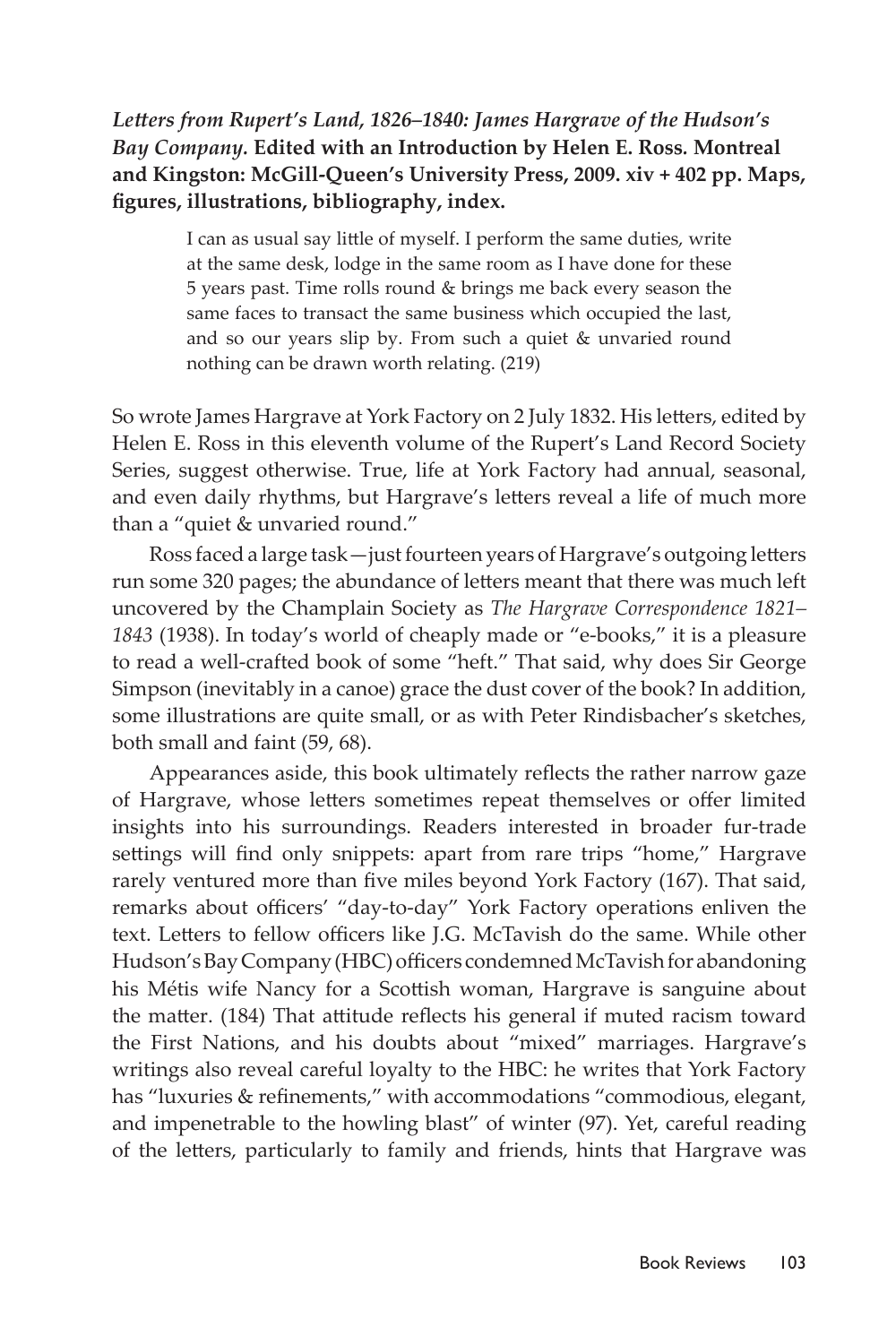## *Letters from Rupert's Land, 1826–1840: James Hargrave of the Hudson's Bay Company.* **Edited with an Introduction by Helen E. Ross***.* **Montreal and Kingston: McGill-Queen's University Press, 2009. xiv + 402 pp. Maps, figures, illustrations, bibliography, index.**

I can as usual say little of myself. I perform the same duties, write at the same desk, lodge in the same room as I have done for these 5 years past. Time rolls round & brings me back every season the same faces to transact the same business which occupied the last, and so our years slip by. From such a quiet & unvaried round nothing can be drawn worth relating. (219)

So wrote James Hargrave at York Factory on 2 July 1832. His letters, edited by Helen E. Ross in this eleventh volume of the Rupert's Land Record Society Series, suggest otherwise. True, life at York Factory had annual, seasonal, and even daily rhythms, but Hargrave's letters reveal a life of much more than a "quiet & unvaried round."

Ross faced a large task—just fourteen years of Hargrave's outgoing letters run some 320 pages; the abundance of letters meant that there was much left uncovered by the Champlain Society as *The Hargrave Correspondence 1821– 1843* (1938). In today's world of cheaply made or "e-books," it is a pleasure to read a well-crafted book of some "heft." That said, why does Sir George Simpson (inevitably in a canoe) grace the dust cover of the book? In addition, some illustrations are quite small, or as with Peter Rindisbacher's sketches, both small and faint (59, 68).

Appearances aside, this book ultimately reflects the rather narrow gaze of Hargrave, whose letters sometimes repeat themselves or offer limited insights into his surroundings. Readers interested in broader fur-trade settings will find only snippets: apart from rare trips "home," Hargrave rarely ventured more than five miles beyond York Factory (167). That said, remarks about officers' "day-to-day" York Factory operations enliven the text. Letters to fellow officers like J.G. McTavish do the same. While other Hudson's Bay Company (HBC) officers condemned McTavish for abandoning his Métis wife Nancy for a Scottish woman, Hargrave is sanguine about the matter. (184) That attitude reflects his general if muted racism toward the First Nations, and his doubts about "mixed" marriages. Hargrave's writings also reveal careful loyalty to the HBC: he writes that York Factory has "luxuries & refinements," with accommodations "commodious, elegant, and impenetrable to the howling blast" of winter (97). Yet, careful reading of the letters, particularly to family and friends, hints that Hargrave was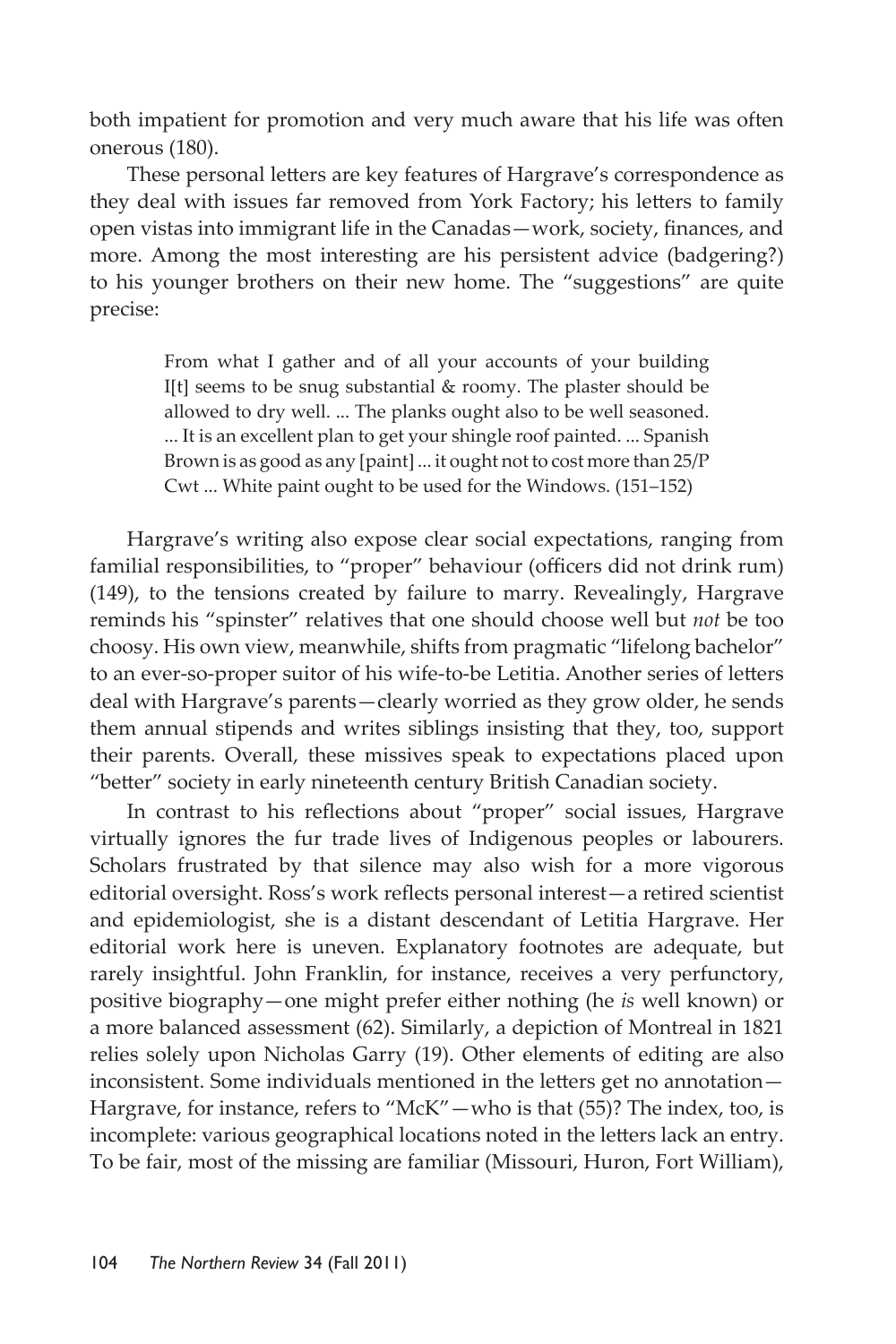both impatient for promotion and very much aware that his life was often onerous (180).

These personal letters are key features of Hargrave's correspondence as they deal with issues far removed from York Factory; his letters to family open vistas into immigrant life in the Canadas—work, society, finances, and more. Among the most interesting are his persistent advice (badgering?) to his younger brothers on their new home. The "suggestions" are quite precise:

> From what I gather and of all your accounts of your building I[t] seems to be snug substantial & roomy. The plaster should be allowed to dry well. ... The planks ought also to be well seasoned. ... It is an excellent plan to get your shingle roof painted. ... Spanish Brown is as good as any [paint] ... it ought not to cost more than 25/P Cwt ... White paint ought to be used for the Windows. (151–152)

Hargrave's writing also expose clear social expectations, ranging from familial responsibilities, to "proper" behaviour (officers did not drink rum) (149), to the tensions created by failure to marry. Revealingly, Hargrave reminds his "spinster" relatives that one should choose well but *not* be too choosy. His own view, meanwhile, shifts from pragmatic "lifelong bachelor" to an ever-so-proper suitor of his wife-to-be Letitia. Another series of letters deal with Hargrave's parents—clearly worried as they grow older, he sends them annual stipends and writes siblings insisting that they, too, support their parents. Overall, these missives speak to expectations placed upon "better" society in early nineteenth century British Canadian society.

In contrast to his reflections about "proper" social issues, Hargrave virtually ignores the fur trade lives of Indigenous peoples or labourers. Scholars frustrated by that silence may also wish for a more vigorous editorial oversight. Ross's work reflects personal interest—a retired scientist and epidemiologist, she is a distant descendant of Letitia Hargrave. Her editorial work here is uneven. Explanatory footnotes are adequate, but rarely insightful. John Franklin, for instance, receives a very perfunctory, positive biography—one might prefer either nothing (he *is* well known) or a more balanced assessment (62). Similarly, a depiction of Montreal in 1821 relies solely upon Nicholas Garry (19). Other elements of editing are also inconsistent. Some individuals mentioned in the letters get no annotation— Hargrave, for instance, refers to "McK"—who is that (55)? The index, too, is incomplete: various geographical locations noted in the letters lack an entry. To be fair, most of the missing are familiar (Missouri, Huron, Fort William),